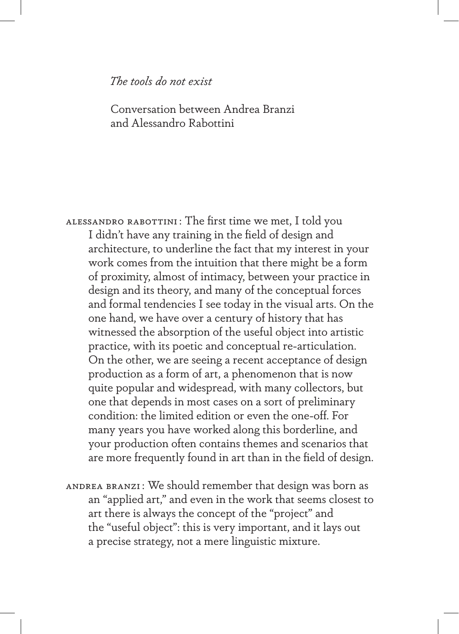## *The tools do not exist*

 Conversation between Andrea Branzi and Alessandro Rabottini

Alessandro Rabottini : The first time we met, I told you I didn't have any training in the field of design and architecture, to underline the fact that my interest in your work comes from the intuition that there might be a form of proximity, almost of intimacy, between your practice in design and its theory, and many of the conceptual forces and formal tendencies I see today in the visual arts. On the one hand, we have over a century of history that has witnessed the absorption of the useful object into artistic practice, with its poetic and conceptual re-articulation. On the other, we are seeing a recent acceptance of design production as a form of art, a phenomenon that is now quite popular and widespread, with many collectors, but one that depends in most cases on a sort of preliminary condition: the limited edition or even the one-off. For many years you have worked along this borderline, and your production often contains themes and scenarios that are more frequently found in art than in the field of design.

Andrea Branzi : We should remember that design was born as an "applied art," and even in the work that seems closest to art there is always the concept of the "project" and the "useful object": this is very important, and it lays out a precise strategy, not a mere linguistic mixture.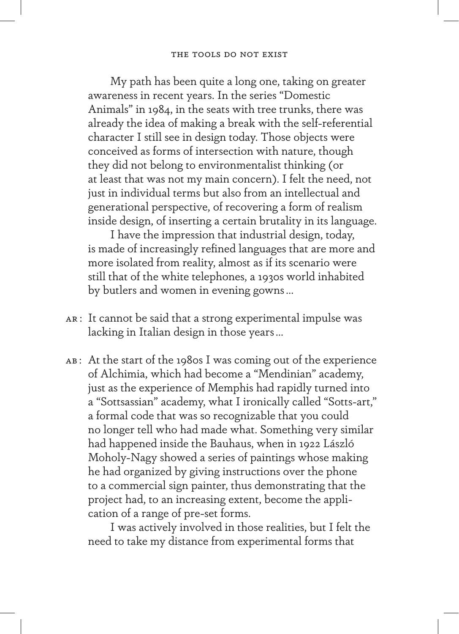## The tools do not exist

My path has been quite a long one, taking on greater awareness in recent years. In the series "Domestic Animals" in 1984, in the seats with tree trunks, there was already the idea of making a break with the self-referential character I still see in design today. Those objects were conceived as forms of intersection with nature, though they did not belong to environmentalist thinking (or at least that was not my main concern). I felt the need, not just in individual terms but also from an intellectual and generational perspective, of recovering a form of realism inside design, of inserting a certain brutality in its language.

I have the impression that industrial design, today, is made of increasingly refined languages that are more and more isolated from reality, almost as if its scenario were still that of the white telephones, a 1930s world inhabited by butlers and women in evening gowns…

- AR : It cannot be said that a strong experimental impulse was lacking in Italian design in those years…
- ab : At the start of the 1980s I was coming out of the experience of Alchimia, which had become a "Mendinian" academy, just as the experience of Memphis had rapidly turned into a "Sottsassian" academy, what I ironically called "Sotts-art," a formal code that was so recognizable that you could no longer tell who had made what. Something very similar had happened inside the Bauhaus, when in 1922 László Moholy-Nagy showed a series of paintings whose making he had organized by giving instructions over the phone to a commercial sign painter, thus demonstrating that the project had, to an increasing extent, become the application of a range of pre-set forms.

I was actively involved in those realities, but I felt the need to take my distance from experimental forms that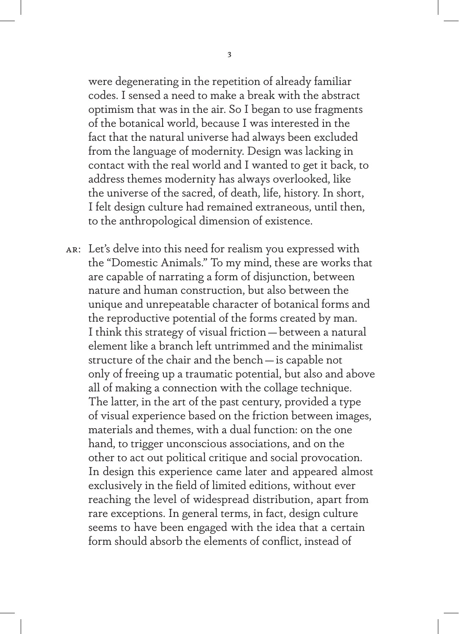were degenerating in the repetition of already familiar codes. I sensed a need to make a break with the abstract optimism that was in the air. So I began to use fragments of the botanical world, because I was interested in the fact that the natural universe had always been excluded from the language of modernity. Design was lacking in contact with the real world and I wanted to get it back, to address themes modernity has always overlooked, like the universe of the sacred, of death, life, history. In short, I felt design culture had remained extraneous, until then, to the anthropological dimension of existence.

ar: Let's delve into this need for realism you expressed with the "Domestic Animals." To my mind, these are works that are capable of narrating a form of disjunction, between nature and human construction, but also between the unique and unrepeatable character of botanical forms and the reproductive potential of the forms created by man. I think this strategy of visual friction—between a natural element like a branch left untrimmed and the minimalist structure of the chair and the bench—is capable not only of freeing up a traumatic potential, but also and above all of making a connection with the collage technique. The latter, in the art of the past century, provided a type of visual experience based on the friction between images, materials and themes, with a dual function: on the one hand, to trigger unconscious associations, and on the other to act out political critique and social provocation. In design this experience came later and appeared almost exclusively in the field of limited editions, without ever reaching the level of widespread distribution, apart from rare exceptions. In general terms, in fact, design culture seems to have been engaged with the idea that a certain form should absorb the elements of conflict, instead of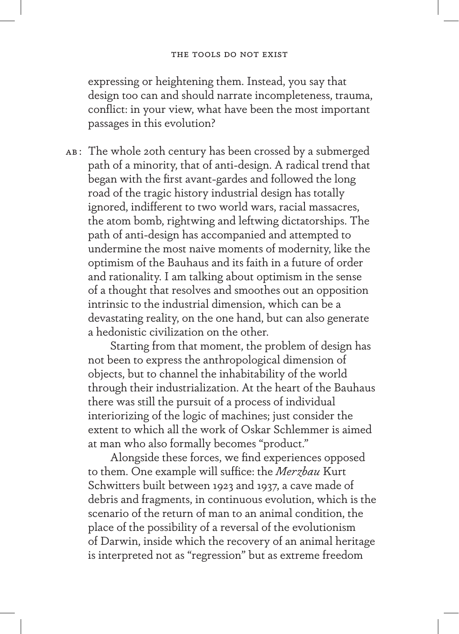expressing or heightening them. Instead, you say that design too can and should narrate incompleteness, trauma, conflict: in your view, what have been the most important passages in this evolution?

AB: The whole 20th century has been crossed by a submerged path of a minority, that of anti-design. A radical trend that began with the first avant-gardes and followed the long road of the tragic history industrial design has totally ignored, indifferent to two world wars, racial massacres, the atom bomb, rightwing and leftwing dictatorships. The path of anti-design has accompanied and attempted to undermine the most naive moments of modernity, like the optimism of the Bauhaus and its faith in a future of order and rationality. I am talking about optimism in the sense of a thought that resolves and smoothes out an opposition intrinsic to the industrial dimension, which can be a devastating reality, on the one hand, but can also generate a hedonistic civilization on the other.

Starting from that moment, the problem of design has not been to express the anthropological dimension of objects, but to channel the inhabitability of the world through their industrialization. At the heart of the Bauhaus there was still the pursuit of a process of individual interiorizing of the logic of machines; just consider the extent to which all the work of Oskar Schlemmer is aimed at man who also formally becomes "product."

Alongside these forces, we find experiences opposed to them. One example will suffice: the *Merzbau* Kurt Schwitters built between 1923 and 1937, a cave made of debris and fragments, in continuous evolution, which is the scenario of the return of man to an animal condition, the place of the possibility of a reversal of the evolutionism of Darwin, inside which the recovery of an animal heritage is interpreted not as "regression" but as extreme freedom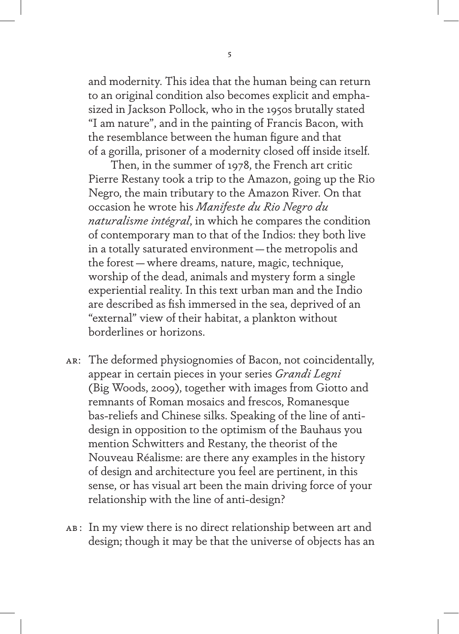and modernity. This idea that the human being can return to an original condition also becomes explicit and emphasized in Jackson Pollock, who in the 1950s brutally stated "I am nature", and in the painting of Francis Bacon, with the resemblance between the human figure and that of a gorilla, prisoner of a modernity closed off inside itself.

Then, in the summer of 1978, the French art critic Pierre Restany took a trip to the Amazon, going up the Rio Negro, the main tributary to the Amazon River. On that occasion he wrote his *Manifeste du Rio Negro du naturalisme intégral*, in which he compares the condition of contemporary man to that of the Indios: they both live in a totally saturated environment—the metropolis and the forest—where dreams, nature, magic, technique, worship of the dead, animals and mystery form a single experiential reality. In this text urban man and the Indio are described as fish immersed in the sea, deprived of an "external" view of their habitat, a plankton without borderlines or horizons.

- ar: The deformed physiognomies of Bacon, not coincidentally, appear in certain pieces in your series *Grandi Legni* (Big Woods, 2009), together with images from Giotto and remnants of Roman mosaics and frescos, Romanesque bas-reliefs and Chinese silks. Speaking of the line of antidesign in opposition to the optimism of the Bauhaus you mention Schwitters and Restany, the theorist of the Nouveau Réalisme: are there any examples in the history of design and architecture you feel are pertinent, in this sense, or has visual art been the main driving force of your relationship with the line of anti-design?
- AB: In my view there is no direct relationship between art and design; though it may be that the universe of objects has an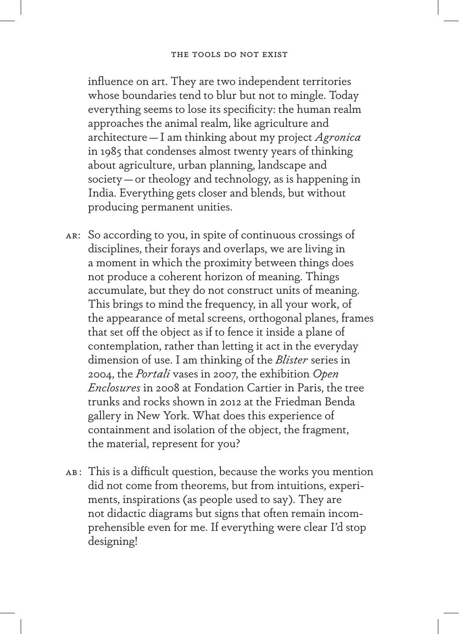influence on art. They are two independent territories whose boundaries tend to blur but not to mingle. Today everything seems to lose its specificity: the human realm approaches the animal realm, like agriculture and architecture—I am thinking about my project *Agronica* in 1985 that condenses almost twenty years of thinking about agriculture, urban planning, landscape and society—or theology and technology, as is happening in India. Everything gets closer and blends, but without producing permanent unities.

- ar: So according to you, in spite of continuous crossings of disciplines, their forays and overlaps, we are living in a moment in which the proximity between things does not produce a coherent horizon of meaning. Things accumulate, but they do not construct units of meaning. This brings to mind the frequency, in all your work, of the appearance of metal screens, orthogonal planes, frames that set off the object as if to fence it inside a plane of contemplation, rather than letting it act in the everyday dimension of use. I am thinking of the *Blister* series in 2004, the *Portali* vases in 2007, the exhibition *Open Enclosures* in 2008 at Fondation Cartier in Paris, the tree trunks and rocks shown in 2012 at the Friedman Benda gallery in New York. What does this experience of containment and isolation of the object, the fragment, the material, represent for you?
- AB: This is a difficult question, because the works you mention did not come from theorems, but from intuitions, experiments, inspirations (as people used to say). They are not didactic diagrams but signs that often remain incomprehensible even for me. If everything were clear I'd stop designing!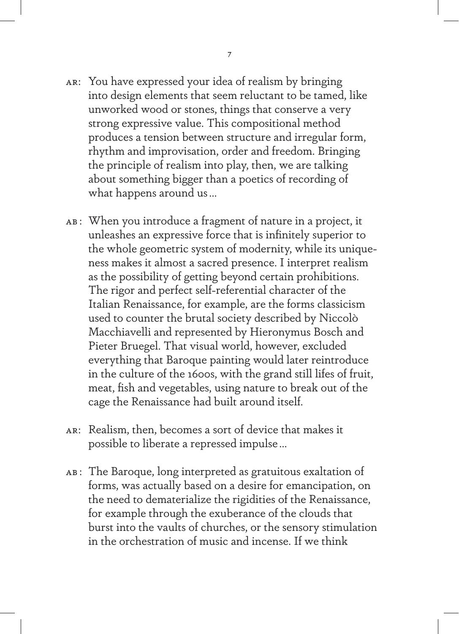- ar: You have expressed your idea of realism by bringing into design elements that seem reluctant to be tamed, like unworked wood or stones, things that conserve a very strong expressive value. This compositional method produces a tension between structure and irregular form, rhythm and improvisation, order and freedom. Bringing the principle of realism into play, then, we are talking about something bigger than a poetics of recording of what happens around us…
- ab : When you introduce a fragment of nature in a project, it unleashes an expressive force that is infinitely superior to the whole geometric system of modernity, while its uniqueness makes it almost a sacred presence. I interpret realism as the possibility of getting beyond certain prohibitions. The rigor and perfect self-referential character of the Italian Renaissance, for example, are the forms classicism used to counter the brutal society described by Niccolò Macchiavelli and represented by Hieronymus Bosch and Pieter Bruegel. That visual world, however, excluded everything that Baroque painting would later reintroduce in the culture of the 1600s, with the grand still lifes of fruit, meat, fish and vegetables, using nature to break out of the cage the Renaissance had built around itself.
- ar: Realism, then, becomes a sort of device that makes it possible to liberate a repressed impulse…
- ab : The Baroque, long interpreted as gratuitous exaltation of forms, was actually based on a desire for emancipation, on the need to dematerialize the rigidities of the Renaissance, for example through the exuberance of the clouds that burst into the vaults of churches, or the sensory stimulation in the orchestration of music and incense. If we think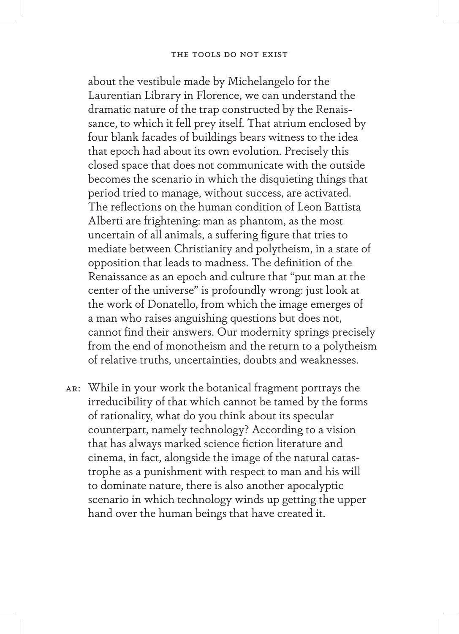## The tools do not exist

about the vestibule made by Michelangelo for the Laurentian Library in Florence, we can understand the dramatic nature of the trap constructed by the Renaissance, to which it fell prey itself. That atrium enclosed by four blank facades of buildings bears witness to the idea that epoch had about its own evolution. Precisely this closed space that does not communicate with the outside becomes the scenario in which the disquieting things that period tried to manage, without success, are activated. The reflections on the human condition of Leon Battista Alberti are frightening: man as phantom, as the most uncertain of all animals, a suffering figure that tries to mediate between Christianity and polytheism, in a state of opposition that leads to madness. The definition of the Renaissance as an epoch and culture that "put man at the center of the universe" is profoundly wrong: just look at the work of Donatello, from which the image emerges of a man who raises anguishing questions but does not, cannot find their answers. Our modernity springs precisely from the end of monotheism and the return to a polytheism of relative truths, uncertainties, doubts and weaknesses.

ar: While in your work the botanical fragment portrays the irreducibility of that which cannot be tamed by the forms of rationality, what do you think about its specular counterpart, namely technology? According to a vision that has always marked science fiction literature and cinema, in fact, alongside the image of the natural catastrophe as a punishment with respect to man and his will to dominate nature, there is also another apocalyptic scenario in which technology winds up getting the upper hand over the human beings that have created it.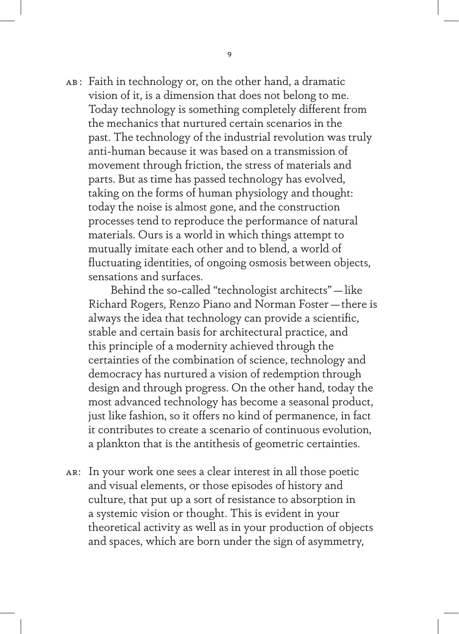ab : Faith in technology or, on the other hand, a dramatic vision of it, is a dimension that does not belong to me. Today technology is something completely different from the mechanics that nurtured certain scenarios in the past. The technology of the industrial revolution was truly anti-human because it was based on a transmission of movement through friction, the stress of materials and parts. But as time has passed technology has evolved, taking on the forms of human physiology and thought: today the noise is almost gone, and the construction processes tend to reproduce the performance of natural materials. Ours is a world in which things attempt to mutually imitate each other and to blend, a world of fluctuating identities, of ongoing osmosis between objects, sensations and surfaces.

Behind the so-called "technologist architects"—like Richard Rogers, Renzo Piano and Norman Foster—there is always the idea that technology can provide a scientific, stable and certain basis for architectural practice, and this principle of a modernity achieved through the certainties of the combination of science, technology and democracy has nurtured a vision of redemption through design and through progress. On the other hand, today the most advanced technology has become a seasonal product, just like fashion, so it offers no kind of permanence, in fact it contributes to create a scenario of continuous evolution, a plankton that is the antithesis of geometric certainties.

ar: In your work one sees a clear interest in all those poetic and visual elements, or those episodes of history and culture, that put up a sort of resistance to absorption in a systemic vision or thought. This is evident in your theoretical activity as well as in your production of objects and spaces, which are born under the sign of asymmetry,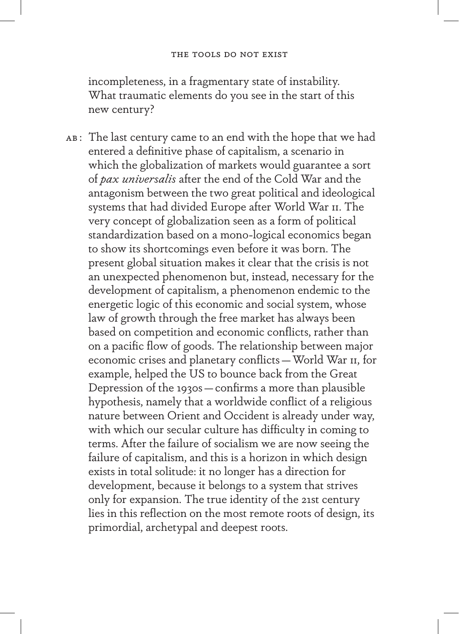incompleteness, in a fragmentary state of instability. What traumatic elements do you see in the start of this new century?

AB: The last century came to an end with the hope that we had entered a definitive phase of capitalism, a scenario in which the globalization of markets would guarantee a sort of *pax universalis* after the end of the Cold War and the antagonism between the two great political and ideological systems that had divided Europe after World War II. The very concept of globalization seen as a form of political standardization based on a mono-logical economics began to show its shortcomings even before it was born. The present global situation makes it clear that the crisis is not an unexpected phenomenon but, instead, necessary for the development of capitalism, a phenomenon endemic to the energetic logic of this economic and social system, whose law of growth through the free market has always been based on competition and economic conflicts, rather than on a pacific flow of goods. The relationship between major economic crises and planetary conflicts—World War II, for example, helped the US to bounce back from the Great Depression of the 1930s—confirms a more than plausible hypothesis, namely that a worldwide conflict of a religious nature between Orient and Occident is already under way, with which our secular culture has difficulty in coming to terms. After the failure of socialism we are now seeing the failure of capitalism, and this is a horizon in which design exists in total solitude: it no longer has a direction for development, because it belongs to a system that strives only for expansion. The true identity of the 21st century lies in this reflection on the most remote roots of design, its primordial, archetypal and deepest roots.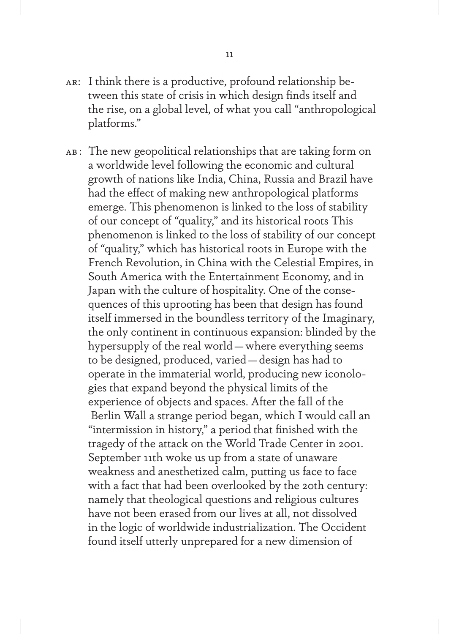- ar: I think there is a productive, profound relationship between this state of crisis in which design finds itself and the rise, on a global level, of what you call "anthropological platforms."
- AB: The new geopolitical relationships that are taking form on a worldwide level following the economic and cultural growth of nations like India, China, Russia and Brazil have had the effect of making new anthropological platforms emerge. This phenomenon is linked to the loss of stability of our concept of "quality," and its historical roots This phenomenon is linked to the loss of stability of our concept of "quality," which has historical roots in Europe with the French Revolution, in China with the Celestial Empires, in South America with the Entertainment Economy, and in Japan with the culture of hospitality. One of the consequences of this uprooting has been that design has found itself immersed in the boundless territory of the Imaginary, the only continent in continuous expansion: blinded by the hypersupply of the real world—where everything seems to be designed, produced, varied—design has had to operate in the immaterial world, producing new iconologies that expand beyond the physical limits of the experience of objects and spaces. After the fall of the Berlin Wall a strange period began, which I would call an "intermission in history," a period that finished with the tragedy of the attack on the World Trade Center in 2001. September 11th woke us up from a state of unaware weakness and anesthetized calm, putting us face to face with a fact that had been overlooked by the 20th century: namely that theological questions and religious cultures have not been erased from our lives at all, not dissolved in the logic of worldwide industrialization. The Occident found itself utterly unprepared for a new dimension of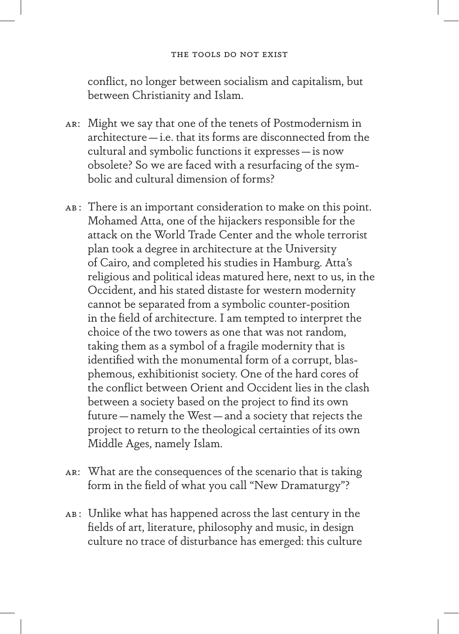conflict, no longer between socialism and capitalism, but between Christianity and Islam.

- ar: Might we say that one of the tenets of Postmodernism in architecture—i.e. that its forms are disconnected from the cultural and symbolic functions it expresses—is now obsolete? So we are faced with a resurfacing of the symbolic and cultural dimension of forms?
- AB: There is an important consideration to make on this point. Mohamed Atta, one of the hijackers responsible for the attack on the World Trade Center and the whole terrorist plan took a degree in architecture at the University of Cairo, and completed his studies in Hamburg. Atta's religious and political ideas matured here, next to us, in the Occident, and his stated distaste for western modernity cannot be separated from a symbolic counter-position in the field of architecture. I am tempted to interpret the choice of the two towers as one that was not random, taking them as a symbol of a fragile modernity that is identified with the monumental form of a corrupt, blasphemous, exhibitionist society. One of the hard cores of the conflict between Orient and Occident lies in the clash between a society based on the project to find its own future—namely the West—and a society that rejects the project to return to the theological certainties of its own Middle Ages, namely Islam.
- ar: What are the consequences of the scenario that is taking form in the field of what you call "New Dramaturgy"?
- ab : Unlike what has happened across the last century in the fields of art, literature, philosophy and music, in design culture no trace of disturbance has emerged: this culture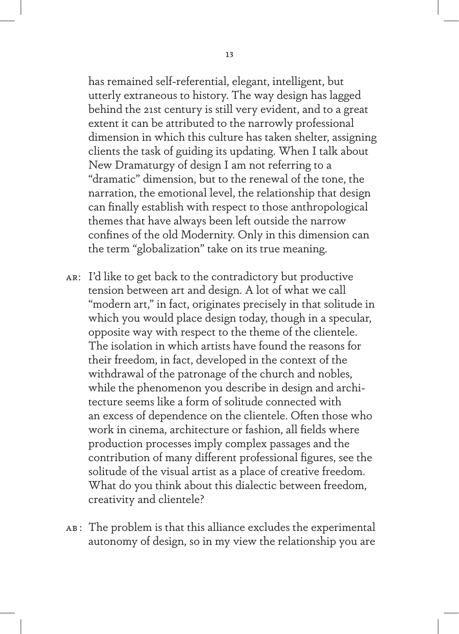has remained self-referential, elegant, intelligent, but utterly extraneous to history. The way design has lagged behind the 21st century is still very evident, and to a great extent it can be attributed to the narrowly professional dimension in which this culture has taken shelter, assigning clients the task of guiding its updating. When I talk about New Dramaturgy of design I am not referring to a "dramatic" dimension, but to the renewal of the tone, the narration, the emotional level, the relationship that design can finally establish with respect to those anthropological themes that have always been left outside the narrow confines of the old Modernity. Only in this dimension can the term "globalization" take on its true meaning.

- ar: I'd like to get back to the contradictory but productive tension between art and design. A lot of what we call "modern art," in fact, originates precisely in that solitude in which you would place design today, though in a specular, opposite way with respect to the theme of the clientele. The isolation in which artists have found the reasons for their freedom, in fact, developed in the context of the withdrawal of the patronage of the church and nobles, while the phenomenon you describe in design and architecture seems like a form of solitude connected with an excess of dependence on the clientele. Often those who work in cinema, architecture or fashion, all fields where production processes imply complex passages and the contribution of many different professional figures, see the solitude of the visual artist as a place of creative freedom. What do you think about this dialectic between freedom, creativity and clientele?
- ab : The problem is that this alliance excludes the experimental autonomy of design, so in my view the relationship you are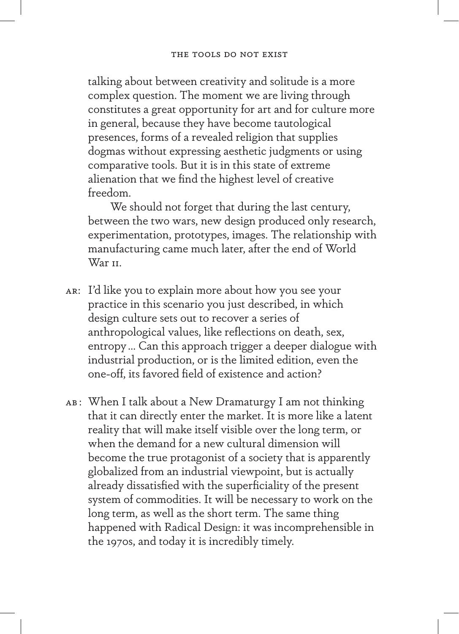talking about between creativity and solitude is a more complex question. The moment we are living through constitutes a great opportunity for art and for culture more in general, because they have become tautological presences, forms of a revealed religion that supplies dogmas without expressing aesthetic judgments or using comparative tools. But it is in this state of extreme alienation that we find the highest level of creative freedom.

We should not forget that during the last century, between the two wars, new design produced only research, experimentation, prototypes, images. The relationship with manufacturing came much later, after the end of World War II.

- ar: I'd like you to explain more about how you see your practice in this scenario you just described, in which design culture sets out to recover a series of anthropological values, like reflections on death, sex, entropy… Can this approach trigger a deeper dialogue with industrial production, or is the limited edition, even the one-off, its favored field of existence and action?
- AB: When I talk about a New Dramaturgy I am not thinking that it can directly enter the market. It is more like a latent reality that will make itself visible over the long term, or when the demand for a new cultural dimension will become the true protagonist of a society that is apparently globalized from an industrial viewpoint, but is actually already dissatisfied with the superficiality of the present system of commodities. It will be necessary to work on the long term, as well as the short term. The same thing happened with Radical Design: it was incomprehensible in the 1970s, and today it is incredibly timely.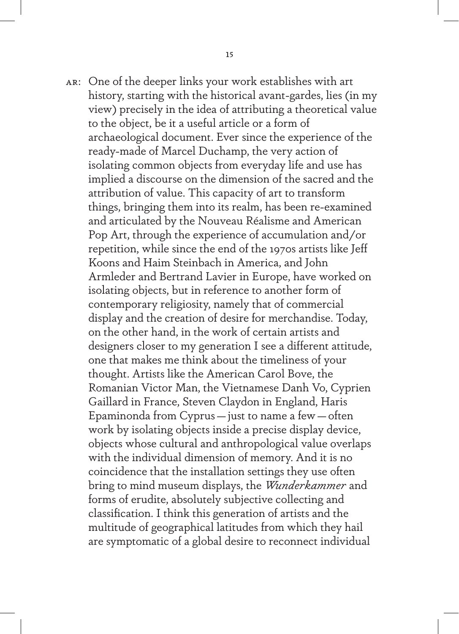ar: One of the deeper links your work establishes with art history, starting with the historical avant-gardes, lies (in my view) precisely in the idea of attributing a theoretical value to the object, be it a useful article or a form of archaeological document. Ever since the experience of the ready-made of Marcel Duchamp, the very action of isolating common objects from everyday life and use has implied a discourse on the dimension of the sacred and the attribution of value. This capacity of art to transform things, bringing them into its realm, has been re-examined and articulated by the Nouveau Réalisme and American Pop Art, through the experience of accumulation and/or repetition, while since the end of the 1970s artists like Jeff Koons and Haim Steinbach in America, and John Armleder and Bertrand Lavier in Europe, have worked on isolating objects, but in reference to another form of contemporary religiosity, namely that of commercial display and the creation of desire for merchandise. Today, on the other hand, in the work of certain artists and designers closer to my generation I see a different attitude, one that makes me think about the timeliness of your thought. Artists like the American Carol Bove, the Romanian Victor Man, the Vietnamese Danh Vo, Cyprien Gaillard in France, Steven Claydon in England, Haris Epaminonda from Cyprus—just to name a few—often work by isolating objects inside a precise display device, objects whose cultural and anthropological value overlaps with the individual dimension of memory. And it is no coincidence that the installation settings they use often bring to mind museum displays, the *Wunderkammer* and forms of erudite, absolutely subjective collecting and classification. I think this generation of artists and the multitude of geographical latitudes from which they hail are symptomatic of a global desire to reconnect individual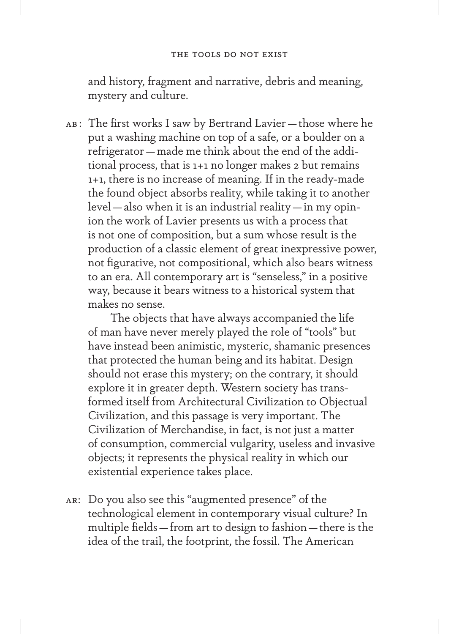and history, fragment and narrative, debris and meaning, mystery and culture.

ab : The first works I saw by Bertrand Lavier—those where he put a washing machine on top of a safe, or a boulder on a refrigerator—made me think about the end of the additional process, that is 1+1 no longer makes 2 but remains 1+1, there is no increase of meaning. If in the ready-made the found object absorbs reality, while taking it to another level—also when it is an industrial reality—in my opinion the work of Lavier presents us with a process that is not one of composition, but a sum whose result is the production of a classic element of great inexpressive power, not figurative, not compositional, which also bears witness to an era. All contemporary art is "senseless," in a positive way, because it bears witness to a historical system that makes no sense.

The objects that have always accompanied the life of man have never merely played the role of "tools" but have instead been animistic, mysteric, shamanic presences that protected the human being and its habitat. Design should not erase this mystery; on the contrary, it should explore it in greater depth. Western society has transformed itself from Architectural Civilization to Objectual Civilization, and this passage is very important. The Civilization of Merchandise, in fact, is not just a matter of consumption, commercial vulgarity, useless and invasive objects; it represents the physical reality in which our existential experience takes place.

ar: Do you also see this "augmented presence" of the technological element in contemporary visual culture? In multiple fields—from art to design to fashion—there is the idea of the trail, the footprint, the fossil. The American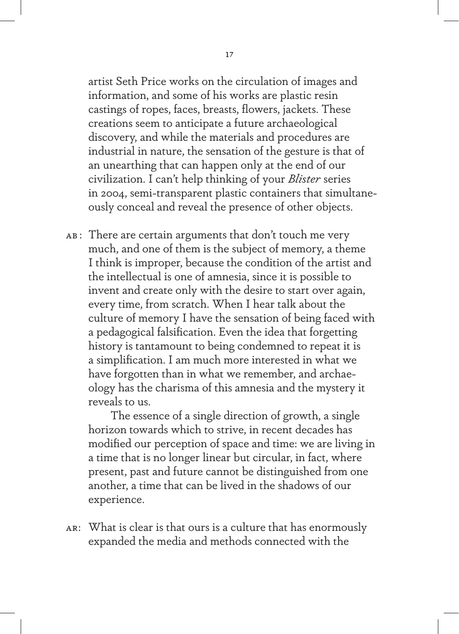artist Seth Price works on the circulation of images and information, and some of his works are plastic resin castings of ropes, faces, breasts, flowers, jackets. These creations seem to anticipate a future archaeological discovery, and while the materials and procedures are industrial in nature, the sensation of the gesture is that of an unearthing that can happen only at the end of our civilization. I can't help thinking of your *Blister* series in 2004, semi-transparent plastic containers that simultaneously conceal and reveal the presence of other objects.

AB: There are certain arguments that don't touch me very much, and one of them is the subject of memory, a theme I think is improper, because the condition of the artist and the intellectual is one of amnesia, since it is possible to invent and create only with the desire to start over again, every time, from scratch. When I hear talk about the culture of memory I have the sensation of being faced with a pedagogical falsification. Even the idea that forgetting history is tantamount to being condemned to repeat it is a simplification. I am much more interested in what we have forgotten than in what we remember, and archaeology has the charisma of this amnesia and the mystery it reveals to us.

The essence of a single direction of growth, a single horizon towards which to strive, in recent decades has modified our perception of space and time: we are living in a time that is no longer linear but circular, in fact, where present, past and future cannot be distinguished from one another, a time that can be lived in the shadows of our experience.

ar: What is clear is that ours is a culture that has enormously expanded the media and methods connected with the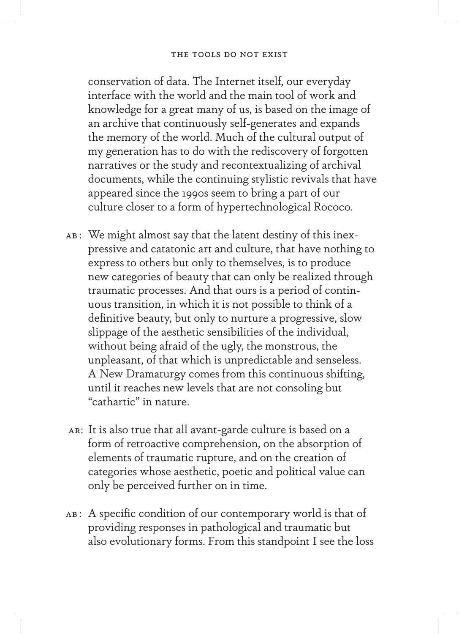## The tools do not exist

conservation of data. The Internet itself, our everyday interface with the world and the main tool of work and knowledge for a great many of us, is based on the image of an archive that continuously self-generates and expands the memory of the world. Much of the cultural output of my generation has to do with the rediscovery of forgotten narratives or the study and recontextualizing of archival documents, while the continuing stylistic revivals that have appeared since the 1990s seem to bring a part of our culture closer to a form of hypertechnological Rococo.

- AB: We might almost say that the latent destiny of this inexpressive and catatonic art and culture, that have nothing to express to others but only to themselves, is to produce new categories of beauty that can only be realized through traumatic processes. And that ours is a period of continuous transition, in which it is not possible to think of a definitive beauty, but only to nurture a progressive, slow slippage of the aesthetic sensibilities of the individual, without being afraid of the ugly, the monstrous, the unpleasant, of that which is unpredictable and senseless. A New Dramaturgy comes from this continuous shifting, until it reaches new levels that are not consoling but "cathartic" in nature.
- ar: It is also true that all avant-garde culture is based on a form of retroactive comprehension, on the absorption of elements of traumatic rupture, and on the creation of categories whose aesthetic, poetic and political value can only be perceived further on in time.
- AB: A specific condition of our contemporary world is that of providing responses in pathological and traumatic but also evolutionary forms. From this standpoint I see the loss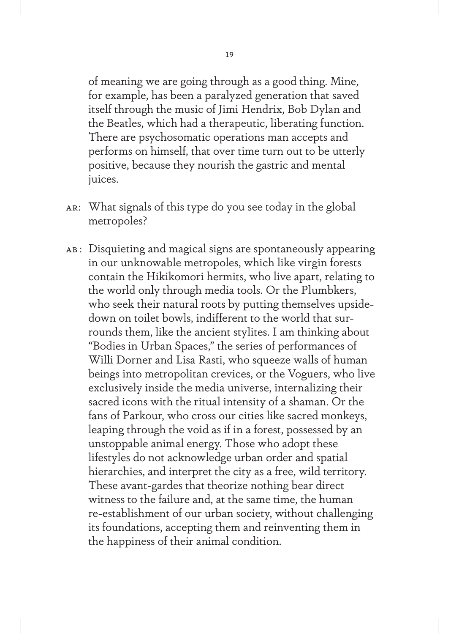of meaning we are going through as a good thing. Mine, for example, has been a paralyzed generation that saved itself through the music of Jimi Hendrix, Bob Dylan and the Beatles, which had a therapeutic, liberating function. There are psychosomatic operations man accepts and performs on himself, that over time turn out to be utterly positive, because they nourish the gastric and mental juices.

- ar: What signals of this type do you see today in the global metropoles?
- ab : Disquieting and magical signs are spontaneously appearing in our unknowable metropoles, which like virgin forests contain the Hikikomori hermits, who live apart, relating to the world only through media tools. Or the Plumbkers, who seek their natural roots by putting themselves upsidedown on toilet bowls, indifferent to the world that surrounds them, like the ancient stylites. I am thinking about "Bodies in Urban Spaces," the series of performances of Willi Dorner and Lisa Rasti, who squeeze walls of human beings into metropolitan crevices, or the Voguers, who live exclusively inside the media universe, internalizing their sacred icons with the ritual intensity of a shaman. Or the fans of Parkour, who cross our cities like sacred monkeys, leaping through the void as if in a forest, possessed by an unstoppable animal energy. Those who adopt these lifestyles do not acknowledge urban order and spatial hierarchies, and interpret the city as a free, wild territory. These avant-gardes that theorize nothing bear direct witness to the failure and, at the same time, the human re-establishment of our urban society, without challenging its foundations, accepting them and reinventing them in the happiness of their animal condition.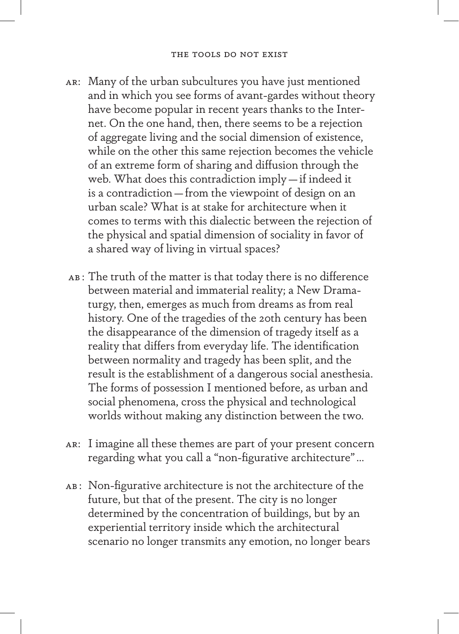- ar: Many of the urban subcultures you have just mentioned and in which you see forms of avant-gardes without theory have become popular in recent years thanks to the Internet. On the one hand, then, there seems to be a rejection of aggregate living and the social dimension of existence, while on the other this same rejection becomes the vehicle of an extreme form of sharing and diffusion through the web. What does this contradiction imply—if indeed it is a contradiction—from the viewpoint of design on an urban scale? What is at stake for architecture when it comes to terms with this dialectic between the rejection of the physical and spatial dimension of sociality in favor of a shared way of living in virtual spaces?
- ab : The truth of the matter is that today there is no difference between material and immaterial reality; a New Dramaturgy, then, emerges as much from dreams as from real history. One of the tragedies of the 20th century has been the disappearance of the dimension of tragedy itself as a reality that differs from everyday life. The identification between normality and tragedy has been split, and the result is the establishment of a dangerous social anesthesia. The forms of possession I mentioned before, as urban and social phenomena, cross the physical and technological worlds without making any distinction between the two.
- ar: I imagine all these themes are part of your present concern regarding what you call a "non-figurative architecture"…
- AB: Non-figurative architecture is not the architecture of the future, but that of the present. The city is no longer determined by the concentration of buildings, but by an experiential territory inside which the architectural scenario no longer transmits any emotion, no longer bears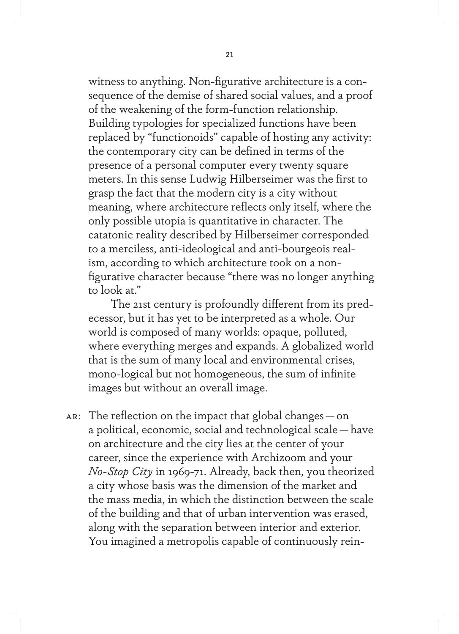witness to anything. Non-figurative architecture is a consequence of the demise of shared social values, and a proof of the weakening of the form-function relationship. Building typologies for specialized functions have been replaced by "functionoids" capable of hosting any activity: the contemporary city can be defined in terms of the presence of a personal computer every twenty square meters. In this sense Ludwig Hilberseimer was the first to grasp the fact that the modern city is a city without meaning, where architecture reflects only itself, where the only possible utopia is quantitative in character. The catatonic reality described by Hilberseimer corresponded to a merciless, anti-ideological and anti-bourgeois realism, according to which architecture took on a nonfigurative character because "there was no longer anything to look at."

The 21st century is profoundly different from its predecessor, but it has yet to be interpreted as a whole. Our world is composed of many worlds: opaque, polluted, where everything merges and expands. A globalized world that is the sum of many local and environmental crises, mono-logical but not homogeneous, the sum of infinite images but without an overall image.

ar: The reflection on the impact that global changes—on a political, economic, social and technological scale—have on architecture and the city lies at the center of your career, since the experience with Archizoom and your *No-Stop City* in 1969-71. Already, back then, you theorized a city whose basis was the dimension of the market and the mass media, in which the distinction between the scale of the building and that of urban intervention was erased, along with the separation between interior and exterior. You imagined a metropolis capable of continuously rein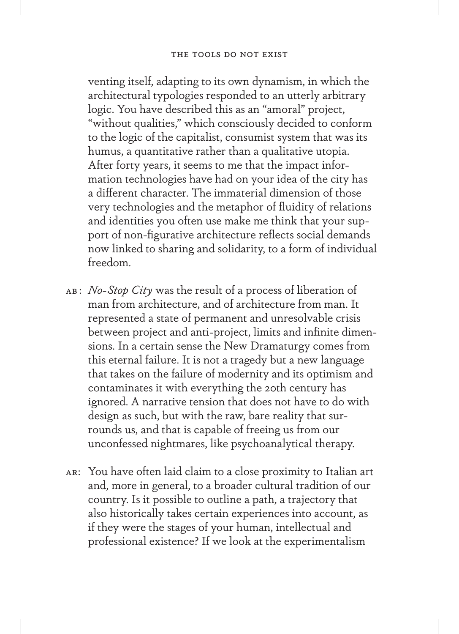venting itself, adapting to its own dynamism, in which the architectural typologies responded to an utterly arbitrary logic. You have described this as an "amoral" project, "without qualities," which consciously decided to conform to the logic of the capitalist, consumist system that was its humus, a quantitative rather than a qualitative utopia. After forty years, it seems to me that the impact information technologies have had on your idea of the city has a different character. The immaterial dimension of those very technologies and the metaphor of fluidity of relations and identities you often use make me think that your support of non-figurative architecture reflects social demands now linked to sharing and solidarity, to a form of individual freedom.

- ab : *No-Stop City* was the result of a process of liberation of man from architecture, and of architecture from man. It represented a state of permanent and unresolvable crisis between project and anti-project, limits and infinite dimensions. In a certain sense the New Dramaturgy comes from this eternal failure. It is not a tragedy but a new language that takes on the failure of modernity and its optimism and contaminates it with everything the 20th century has ignored. A narrative tension that does not have to do with design as such, but with the raw, bare reality that surrounds us, and that is capable of freeing us from our unconfessed nightmares, like psychoanalytical therapy.
- ar: You have often laid claim to a close proximity to Italian art and, more in general, to a broader cultural tradition of our country. Is it possible to outline a path, a trajectory that also historically takes certain experiences into account, as if they were the stages of your human, intellectual and professional existence? If we look at the experimentalism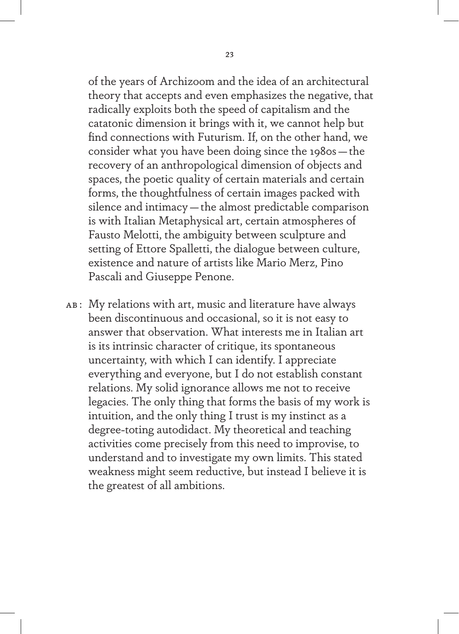of the years of Archizoom and the idea of an architectural theory that accepts and even emphasizes the negative, that radically exploits both the speed of capitalism and the catatonic dimension it brings with it, we cannot help but find connections with Futurism. If, on the other hand, we consider what you have been doing since the 1980s—the recovery of an anthropological dimension of objects and spaces, the poetic quality of certain materials and certain forms, the thoughtfulness of certain images packed with silence and intimacy—the almost predictable comparison is with Italian Metaphysical art, certain atmospheres of Fausto Melotti, the ambiguity between sculpture and setting of Ettore Spalletti, the dialogue between culture, existence and nature of artists like Mario Merz, Pino Pascali and Giuseppe Penone.

AB: My relations with art, music and literature have always been discontinuous and occasional, so it is not easy to answer that observation. What interests me in Italian art is its intrinsic character of critique, its spontaneous uncertainty, with which I can identify. I appreciate everything and everyone, but I do not establish constant relations. My solid ignorance allows me not to receive legacies. The only thing that forms the basis of my work is intuition, and the only thing I trust is my instinct as a degree-toting autodidact. My theoretical and teaching activities come precisely from this need to improvise, to understand and to investigate my own limits. This stated weakness might seem reductive, but instead I believe it is the greatest of all ambitions.